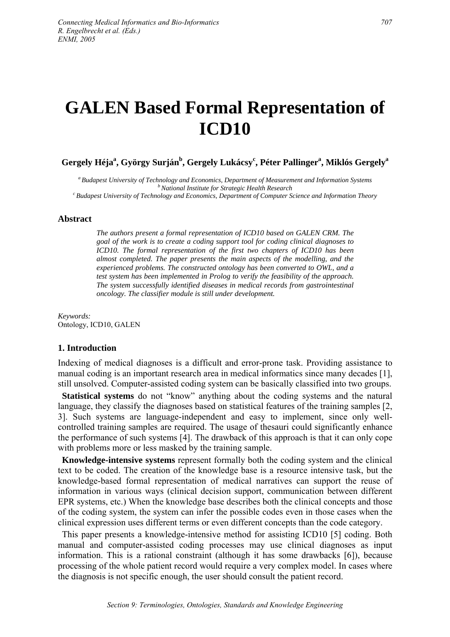# **GALEN Based Formal Representation of ICD10**

# $G$ ergely Héja $^{\rm a}$ , György Surján $^{\rm b}$ , Gergely Lukácsy $^{\rm c}$ , Péter Pallinger $^{\rm a}$ , Miklós Gergely $^{\rm a}$

<sup>a</sup> Budapest University of Technology and Economics, Department of Measurement and Information Systems<br><sup>b</sup> National Institute for Strategic Health Research<br><sup>c</sup> Budapest University of Technology and Economics. Department o

#### **Abstract**

*The authors present a formal representation of ICD10 based on GALEN CRM. The goal of the work is to create a coding support tool for coding clinical diagnoses to ICD10. The formal representation of the first two chapters of ICD10 has been almost completed. The paper presents the main aspects of the modelling, and the experienced problems. The constructed ontology has been converted to OWL, and a test system has been implemented in Prolog to verify the feasibility of the approach. The system successfully identified diseases in medical records from gastrointestinal oncology. The classifier module is still under development.* 

*Keywords:*  Ontology, ICD10, GALEN

#### **1. Introduction**

Indexing of medical diagnoses is a difficult and error-prone task. Providing assistance to manual coding is an important research area in medical informatics since many decades [1], still unsolved. Computer-assisted coding system can be basically classified into two groups.

**Statistical systems** do not "know" anything about the coding systems and the natural language, they classify the diagnoses based on statistical features of the training samples [2, 3]. Such systems are language-independent and easy to implement, since only wellcontrolled training samples are required. The usage of thesauri could significantly enhance the performance of such systems [4]. The drawback of this approach is that it can only cope with problems more or less masked by the training sample.

**Knowledge-intensive systems** represent formally both the coding system and the clinical text to be coded. The creation of the knowledge base is a resource intensive task, but the knowledge-based formal representation of medical narratives can support the reuse of information in various ways (clinical decision support, communication between different EPR systems, etc.) When the knowledge base describes both the clinical concepts and those of the coding system, the system can infer the possible codes even in those cases when the clinical expression uses different terms or even different concepts than the code category.

This paper presents a knowledge-intensive method for assisting ICD10 [5] coding. Both manual and computer-assisted coding processes may use clinical diagnoses as input information. This is a rational constraint (although it has some drawbacks [6]), because processing of the whole patient record would require a very complex model. In cases where the diagnosis is not specific enough, the user should consult the patient record.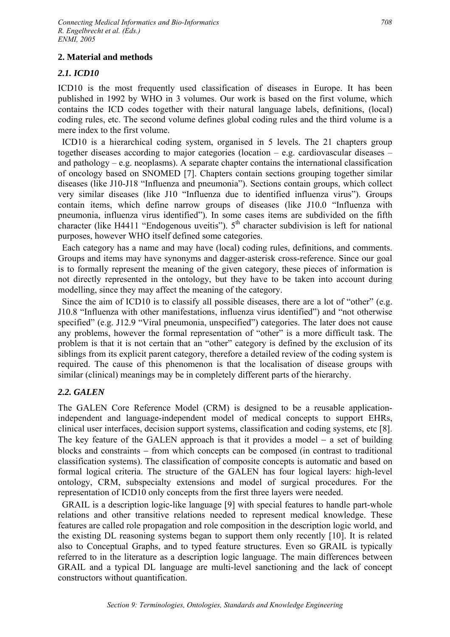## **2. Material and methods**

## *2.1. ICD10*

ICD10 is the most frequently used classification of diseases in Europe. It has been published in 1992 by WHO in 3 volumes. Our work is based on the first volume, which contains the ICD codes together with their natural language labels, definitions, (local) coding rules, etc. The second volume defines global coding rules and the third volume is a mere index to the first volume.

ICD10 is a hierarchical coding system, organised in 5 levels. The 21 chapters group together diseases according to major categories (location – e.g. cardiovascular diseases – and pathology – e.g. neoplasms). A separate chapter contains the international classification of oncology based on SNOMED [7]. Chapters contain sections grouping together similar diseases (like J10-J18 "Influenza and pneumonia"). Sections contain groups, which collect very similar diseases (like J10 "Influenza due to identified influenza virus"). Groups contain items, which define narrow groups of diseases (like J10.0 "Influenza with pneumonia, influenza virus identified"). In some cases items are subdivided on the fifth character (like H4411 "Endogenous uveitis").  $5<sup>th</sup>$  character subdivision is left for national purposes, however WHO itself defined some categories.

Each category has a name and may have (local) coding rules, definitions, and comments. Groups and items may have synonyms and dagger-asterisk cross-reference. Since our goal is to formally represent the meaning of the given category, these pieces of information is not directly represented in the ontology, but they have to be taken into account during modelling, since they may affect the meaning of the category.

Since the aim of ICD10 is to classify all possible diseases, there are a lot of "other" (e.g. J10.8 "Influenza with other manifestations, influenza virus identified") and "not otherwise specified" (e.g. J12.9 "Viral pneumonia, unspecified") categories. The later does not cause any problems, however the formal representation of "other" is a more difficult task. The problem is that it is not certain that an "other" category is defined by the exclusion of its siblings from its explicit parent category, therefore a detailed review of the coding system is required. The cause of this phenomenon is that the localisation of disease groups with similar (clinical) meanings may be in completely different parts of the hierarchy.

## *2.2. GALEN*

The GALEN Core Reference Model (CRM) is designed to be a reusable applicationindependent and language-independent model of medical concepts to support EHRs, clinical user interfaces, decision support systems, classification and coding systems, etc [8]. The key feature of the GALEN approach is that it provides a model  $-$  a set of building blocks and constraints − from which concepts can be composed (in contrast to traditional classification systems). The classification of composite concepts is automatic and based on formal logical criteria. The structure of the GALEN has four logical layers: high-level ontology, CRM, subspecialty extensions and model of surgical procedures. For the representation of ICD10 only concepts from the first three layers were needed.

GRAIL is a description logic-like language [9] with special features to handle part-whole relations and other transitive relations needed to represent medical knowledge. These features are called role propagation and role composition in the description logic world, and the existing DL reasoning systems began to support them only recently [10]. It is related also to Conceptual Graphs, and to typed feature structures. Even so GRAIL is typically referred to in the literature as a description logic language. The main differences between GRAIL and a typical DL language are multi-level sanctioning and the lack of concept constructors without quantification.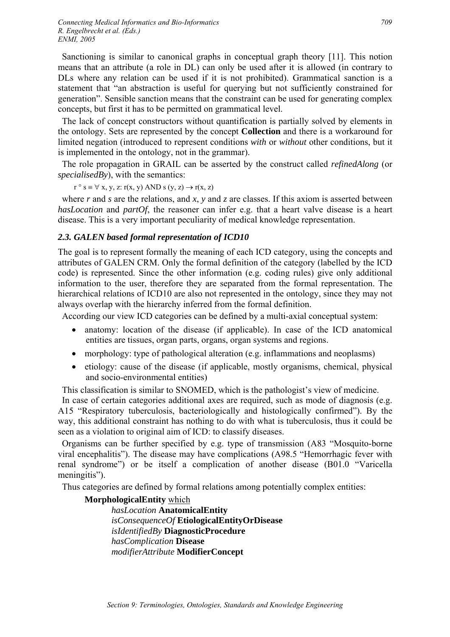Sanctioning is similar to canonical graphs in conceptual graph theory [11]. This notion means that an attribute (a role in DL) can only be used after it is allowed (in contrary to DLs where any relation can be used if it is not prohibited). Grammatical sanction is a statement that "an abstraction is useful for querying but not sufficiently constrained for generation". Sensible sanction means that the constraint can be used for generating complex concepts, but first it has to be permitted on grammatical level.

The lack of concept constructors without quantification is partially solved by elements in the ontology. Sets are represented by the concept **Collection** and there is a workaround for limited negation (introduced to represent conditions *with* or *without* other conditions, but it is implemented in the ontology, not in the grammar).

The role propagation in GRAIL can be asserted by the construct called *refinedAlong* (or *specialisedBy*), with the semantics:

 $r \circ s \equiv \forall x, y, z$ :  $r(x, y)$  AND  $s(y, z) \rightarrow r(x, z)$ 

where *r* and *s* are the relations, and *x*, *y* and *z* are classes. If this axiom is asserted between *hasLocation* and *partOf*, the reasoner can infer e.g. that a heart valve disease is a heart disease. This is a very important peculiarity of medical knowledge representation.

## *2.3. GALEN based formal representation of ICD10*

The goal is to represent formally the meaning of each ICD category, using the concepts and attributes of GALEN CRM. Only the formal definition of the category (labelled by the ICD code) is represented. Since the other information (e.g. coding rules) give only additional information to the user, therefore they are separated from the formal representation. The hierarchical relations of ICD10 are also not represented in the ontology, since they may not always overlap with the hierarchy inferred from the formal definition.

According our view ICD categories can be defined by a multi-axial conceptual system:

- anatomy: location of the disease (if applicable). In case of the ICD anatomical entities are tissues, organ parts, organs, organ systems and regions.
- morphology: type of pathological alteration (e.g. inflammations and neoplasms)
- etiology: cause of the disease (if applicable, mostly organisms, chemical, physical and socio-environmental entities)

This classification is similar to SNOMED, which is the pathologist's view of medicine. In case of certain categories additional axes are required, such as mode of diagnosis (e.g. A15 "Respiratory tuberculosis, bacteriologically and histologically confirmed"). By the way, this additional constraint has nothing to do with what is tuberculosis, thus it could be seen as a violation to original aim of ICD: to classify diseases.

Organisms can be further specified by e.g. type of transmission (A83 "Mosquito-borne viral encephalitis"). The disease may have complications (A98.5 "Hemorrhagic fever with renal syndrome") or be itself a complication of another disease (B01.0 "Varicella meningitis").

Thus categories are defined by formal relations among potentially complex entities:

## **MorphologicalEntity** which

*hasLocation* **AnatomicalEntity** *isConsequenceOf* **EtiologicalEntityOrDisease** *isIdentifiedBy* **DiagnosticProcedure** *hasComplication* **Disease** *modifierAttribute* **ModifierConcept**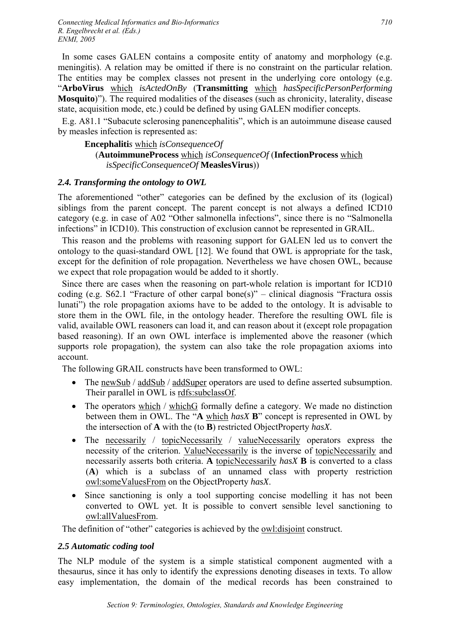In some cases GALEN contains a composite entity of anatomy and morphology (e.g. meningitis). A relation may be omitted if there is no constraint on the particular relation. The entities may be complex classes not present in the underlying core ontology (e.g. "**ArboVirus** which *isActedOnBy* (**Transmitting** which *hasSpecificPersonPerforming* **Mosquito**)"). The required modalities of the diseases (such as chronicity, laterality, disease state, acquisition mode, etc.) could be defined by using GALEN modifier concepts.

E.g. A81.1 "Subacute sclerosing panencephalitis", which is an autoimmune disease caused by measles infection is represented as:

## **Encephaliti***s* which *isConsequenceOf*  (**AutoimmuneProcess** which *isConsequenceOf* (**InfectionProcess** which *isSpecificConsequenceOf* **MeaslesVirus**))

# *2.4. Transforming the ontology to OWL*

The aforementioned "other" categories can be defined by the exclusion of its (logical) siblings from the parent concept. The parent concept is not always a defined ICD10 category (e.g. in case of A02 "Other salmonella infections", since there is no "Salmonella infections" in ICD10). This construction of exclusion cannot be represented in GRAIL.

This reason and the problems with reasoning support for GALEN led us to convert the ontology to the quasi-standard OWL [12]. We found that OWL is appropriate for the task, except for the definition of role propagation. Nevertheless we have chosen OWL, because we expect that role propagation would be added to it shortly.

Since there are cases when the reasoning on part-whole relation is important for ICD10 coding (e.g.  $S62.1$  "Fracture of other carpal bone(s)" – clinical diagnosis "Fractura ossis" lunati") the role propagation axioms have to be added to the ontology. It is advisable to store them in the OWL file, in the ontology header. Therefore the resulting OWL file is valid, available OWL reasoners can load it, and can reason about it (except role propagation based reasoning). If an own OWL interface is implemented above the reasoner (which supports role propagation), the system can also take the role propagation axioms into account.

The following GRAIL constructs have been transformed to OWL:

- The newSub / addSub / addSuper operators are used to define asserted subsumption. Their parallel in OWL is rdfs:subclassOf.
- The operators which / whichG formally define a category. We made no distinction between them in OWL. The "**A** which *hasX* **B**" concept is represented in OWL by the intersection of **A** with the (to **B**) restricted ObjectProperty *hasX*.
- The necessarily / topicNecessarily / valueNecessarily operators express the necessity of the criterion. ValueNecessarily is the inverse of topicNecessarily and necessarily asserts both criteria. **A** topicNecessarily *hasX* **B** is converted to a class (**A**) which is a subclass of an unnamed class with property restriction owl:someValuesFrom on the ObjectProperty *hasX*.
- Since sanctioning is only a tool supporting concise modelling it has not been converted to OWL yet. It is possible to convert sensible level sanctioning to owl:allValuesFrom.

The definition of "other" categories is achieved by the owl:disjoint construct.

## *2.5 Automatic coding tool*

The NLP module of the system is a simple statistical component augmented with a thesaurus, since it has only to identify the expressions denoting diseases in texts. To allow easy implementation, the domain of the medical records has been constrained to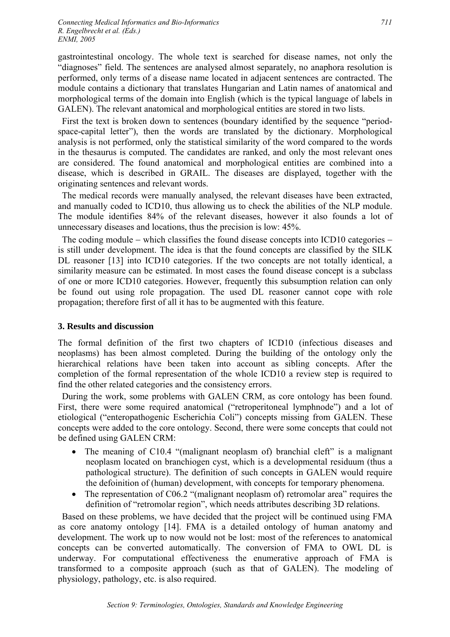gastrointestinal oncology. The whole text is searched for disease names, not only the "diagnoses" field. The sentences are analysed almost separately, no anaphora resolution is performed, only terms of a disease name located in adjacent sentences are contracted. The module contains a dictionary that translates Hungarian and Latin names of anatomical and morphological terms of the domain into English (which is the typical language of labels in GALEN). The relevant anatomical and morphological entities are stored in two lists.

First the text is broken down to sentences (boundary identified by the sequence "periodspace-capital letter"), then the words are translated by the dictionary. Morphological analysis is not performed, only the statistical similarity of the word compared to the words in the thesaurus is computed. The candidates are ranked, and only the most relevant ones are considered. The found anatomical and morphological entities are combined into a disease, which is described in GRAIL. The diseases are displayed, together with the originating sentences and relevant words.

The medical records were manually analysed, the relevant diseases have been extracted, and manually coded to ICD10, thus allowing us to check the abilities of the NLP module. The module identifies 84% of the relevant diseases, however it also founds a lot of unnecessary diseases and locations, thus the precision is low: 45%.

The coding module – which classifies the found disease concepts into ICD10 categories – is still under development. The idea is that the found concepts are classified by the SILK DL reasoner [13] into ICD10 categories. If the two concepts are not totally identical, a similarity measure can be estimated. In most cases the found disease concept is a subclass of one or more ICD10 categories. However, frequently this subsumption relation can only be found out using role propagation. The used DL reasoner cannot cope with role propagation; therefore first of all it has to be augmented with this feature.

## **3. Results and discussion**

The formal definition of the first two chapters of ICD10 (infectious diseases and neoplasms) has been almost completed. During the building of the ontology only the hierarchical relations have been taken into account as sibling concepts. After the completion of the formal representation of the whole ICD10 a review step is required to find the other related categories and the consistency errors.

During the work, some problems with GALEN CRM, as core ontology has been found. First, there were some required anatomical ("retroperitoneal lymphnode") and a lot of etiological ("enteropathogenic Escherichia Coli") concepts missing from GALEN. These concepts were added to the core ontology. Second, there were some concepts that could not be defined using GALEN CRM:

- The meaning of C10.4 "(malignant neoplasm of) branchial cleft" is a malignant neoplasm located on branchiogen cyst, which is a developmental residuum (thus a pathological structure). The definition of such concepts in GALEN would require the defoinition of (human) development, with concepts for temporary phenomena.
- The representation of C06.2 "(malignant neoplasm of) retromolar area" requires the definition of "retromolar region", which needs attributes describing 3D relations.

Based on these problems, we have decided that the project will be continued using FMA as core anatomy ontology [14]. FMA is a detailed ontology of human anatomy and development. The work up to now would not be lost: most of the references to anatomical concepts can be converted automatically. The conversion of FMA to OWL DL is underway. For computational effectiveness the enumerative approach of FMA is transformed to a composite approach (such as that of GALEN). The modeling of physiology, pathology, etc. is also required.